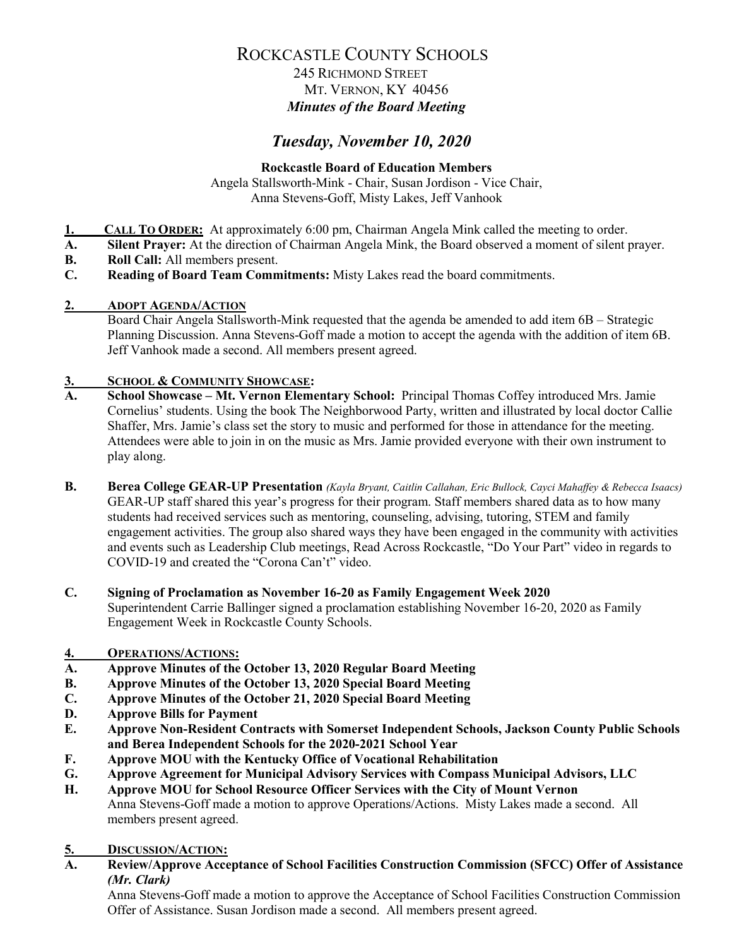## 245 RICHMOND STREET MT. VERNON, KY 40456 *Minutes of the Board Meeting*

# *Tuesday, November 10, 2020*

#### **Rockcastle Board of Education Members**

Angela Stallsworth-Mink - Chair, Susan Jordison - Vice Chair, Anna Stevens-Goff, Misty Lakes, Jeff Vanhook

- **1. CALL TO ORDER:** At approximately 6:00 pm, Chairman Angela Mink called the meeting to order.<br>**A.** Silent Prayer: At the direction of Chairman Angela Mink, the Board observed a moment of silent i
- **A. Silent Prayer:** At the direction of Chairman Angela Mink, the Board observed a moment of silent prayer.
- **B. Roll Call:** All members present.
- **C. Reading of Board Team Commitments:** Misty Lakes read the board commitments.
- **2. ADOPT AGENDA/ACTION**

Board Chair Angela Stallsworth-Mink requested that the agenda be amended to add item 6B – Strategic Planning Discussion. Anna Stevens-Goff made a motion to accept the agenda with the addition of item 6B. Jeff Vanhook made a second. All members present agreed.

# **3. SCHOOL & COMMUNITY SHOWCASE:**

- **A. School Showcase – Mt. Vernon Elementary School:** Principal Thomas Coffey introduced Mrs. Jamie Cornelius' students. Using the book The Neighborwood Party, written and illustrated by local doctor Callie Shaffer, Mrs. Jamie's class set the story to music and performed for those in attendance for the meeting. Attendees were able to join in on the music as Mrs. Jamie provided everyone with their own instrument to play along.
- **B. Berea College GEAR-UP Presentation** *(Kayla Bryant, Caitlin Callahan, Eric Bullock, Cayci Mahaffey & Rebecca Isaacs)* GEAR-UP staff shared this year's progress for their program. Staff members shared data as to how many students had received services such as mentoring, counseling, advising, tutoring, STEM and family engagement activities. The group also shared ways they have been engaged in the community with activities and events such as Leadership Club meetings, Read Across Rockcastle, "Do Your Part" video in regards to COVID-19 and created the "Corona Can't" video.
- **C. Signing of Proclamation as November 16-20 as Family Engagement Week 2020** Superintendent Carrie Ballinger signed a proclamation establishing November 16-20, 2020 as Family Engagement Week in Rockcastle County Schools.
- **4. OPERATIONS/ACTIONS:**
- **A. Approve Minutes of the October 13, 2020 Regular Board Meeting**
- **B. Approve Minutes of the October 13, 2020 Special Board Meeting**
- **C. Approve Minutes of the October 21, 2020 Special Board Meeting**
- **D. Approve Bills for Payment**
- **E. Approve Non-Resident Contracts with Somerset Independent Schools, Jackson County Public Schools and Berea Independent Schools for the 2020-2021 School Year**
- **F. Approve MOU with the Kentucky Office of Vocational Rehabilitation**
- **G. Approve Agreement for Municipal Advisory Services with Compass Municipal Advisors, LLC**
- **H. Approve MOU for School Resource Officer Services with the City of Mount Vernon** Anna Stevens-Goff made a motion to approve Operations/Actions. Misty Lakes made a second. All members present agreed.
- **5. DISCUSSION/ACTION:**
- **A. Review/Approve Acceptance of School Facilities Construction Commission (SFCC) Offer of Assistance**  *(Mr. Clark)*

Anna Stevens-Goff made a motion to approve the Acceptance of School Facilities Construction Commission Offer of Assistance. Susan Jordison made a second. All members present agreed.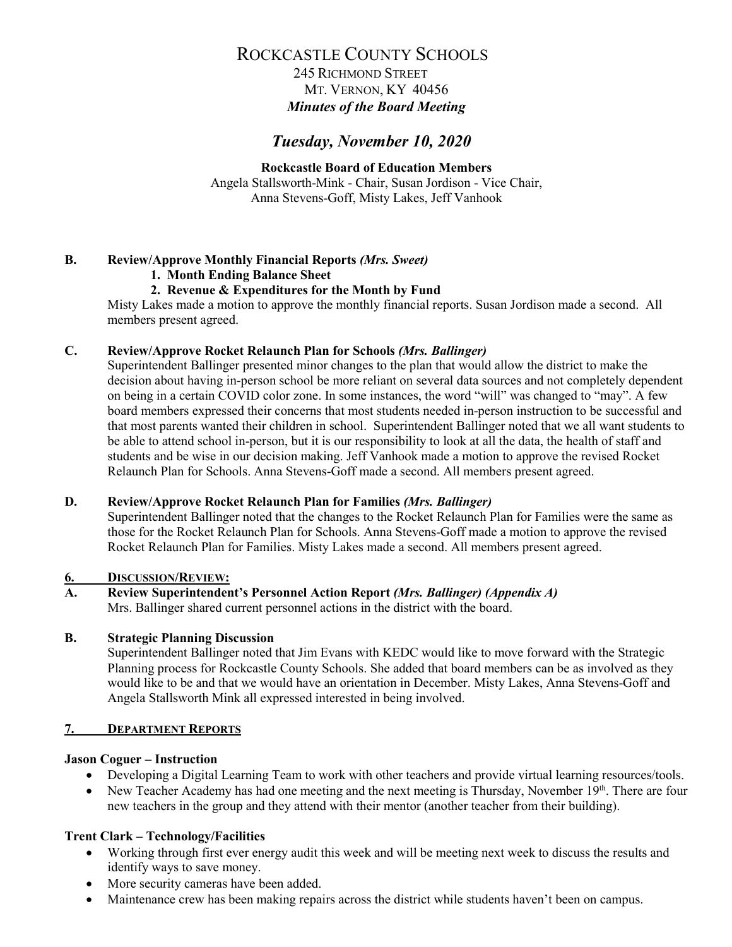245 RICHMOND STREET MT. VERNON, KY 40456 *Minutes of the Board Meeting*

## *Tuesday, November 10, 2020*

**Rockcastle Board of Education Members** Angela Stallsworth-Mink - Chair, Susan Jordison - Vice Chair, Anna Stevens-Goff, Misty Lakes, Jeff Vanhook

#### **B. Review/Approve Monthly Financial Reports** *(Mrs. Sweet)*

#### **1. Month Ending Balance Sheet**

#### **2. Revenue & Expenditures for the Month by Fund**

Misty Lakes made a motion to approve the monthly financial reports. Susan Jordison made a second. All members present agreed.

#### **C. Review/Approve Rocket Relaunch Plan for Schools** *(Mrs. Ballinger)*

Superintendent Ballinger presented minor changes to the plan that would allow the district to make the decision about having in-person school be more reliant on several data sources and not completely dependent on being in a certain COVID color zone. In some instances, the word "will" was changed to "may". A few board members expressed their concerns that most students needed in-person instruction to be successful and that most parents wanted their children in school. Superintendent Ballinger noted that we all want students to be able to attend school in-person, but it is our responsibility to look at all the data, the health of staff and students and be wise in our decision making. Jeff Vanhook made a motion to approve the revised Rocket Relaunch Plan for Schools. Anna Stevens-Goff made a second. All members present agreed.

#### **D. Review/Approve Rocket Relaunch Plan for Families** *(Mrs. Ballinger)*

Superintendent Ballinger noted that the changes to the Rocket Relaunch Plan for Families were the same as those for the Rocket Relaunch Plan for Schools. Anna Stevens-Goff made a motion to approve the revised Rocket Relaunch Plan for Families. Misty Lakes made a second. All members present agreed.

#### **6. DISCUSSION/REVIEW:**

**A. Review Superintendent's Personnel Action Report** *(Mrs. Ballinger) (Appendix A)* Mrs. Ballinger shared current personnel actions in the district with the board.

#### **B. Strategic Planning Discussion**

Superintendent Ballinger noted that Jim Evans with KEDC would like to move forward with the Strategic Planning process for Rockcastle County Schools. She added that board members can be as involved as they would like to be and that we would have an orientation in December. Misty Lakes, Anna Stevens-Goff and Angela Stallsworth Mink all expressed interested in being involved.

#### **7. DEPARTMENT REPORTS**

#### **Jason Coguer – Instruction**

- Developing a Digital Learning Team to work with other teachers and provide virtual learning resources/tools.
- New Teacher Academy has had one meeting and the next meeting is Thursday, November  $19<sup>th</sup>$ . There are four new teachers in the group and they attend with their mentor (another teacher from their building).

#### **Trent Clark – Technology/Facilities**

- Working through first ever energy audit this week and will be meeting next week to discuss the results and identify ways to save money.
- More security cameras have been added.
- Maintenance crew has been making repairs across the district while students haven't been on campus.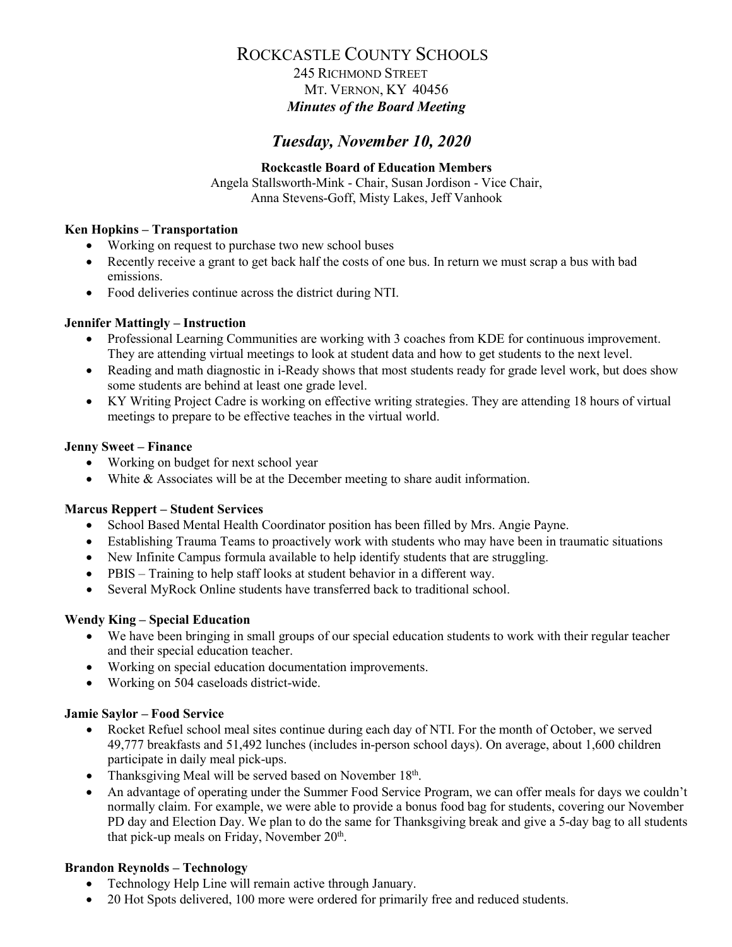## 245 RICHMOND STREET MT. VERNON, KY 40456 *Minutes of the Board Meeting*

# *Tuesday, November 10, 2020*

#### **Rockcastle Board of Education Members**

Angela Stallsworth-Mink - Chair, Susan Jordison - Vice Chair, Anna Stevens-Goff, Misty Lakes, Jeff Vanhook

#### **Ken Hopkins – Transportation**

- Working on request to purchase two new school buses
- Recently receive a grant to get back half the costs of one bus. In return we must scrap a bus with bad emissions.
- Food deliveries continue across the district during NTI.

#### **Jennifer Mattingly – Instruction**

- Professional Learning Communities are working with 3 coaches from KDE for continuous improvement. They are attending virtual meetings to look at student data and how to get students to the next level.
- Reading and math diagnostic in i-Ready shows that most students ready for grade level work, but does show some students are behind at least one grade level.
- KY Writing Project Cadre is working on effective writing strategies. They are attending 18 hours of virtual meetings to prepare to be effective teaches in the virtual world.

#### **Jenny Sweet – Finance**

- Working on budget for next school year
- White & Associates will be at the December meeting to share audit information.

#### **Marcus Reppert – Student Services**

- School Based Mental Health Coordinator position has been filled by Mrs. Angie Payne.
- Establishing Trauma Teams to proactively work with students who may have been in traumatic situations
- New Infinite Campus formula available to help identify students that are struggling.
- PBIS Training to help staff looks at student behavior in a different way.
- Several MyRock Online students have transferred back to traditional school.

#### **Wendy King – Special Education**

- We have been bringing in small groups of our special education students to work with their regular teacher and their special education teacher.
- Working on special education documentation improvements.
- Working on 504 caseloads district-wide.

#### **Jamie Saylor – Food Service**

- Rocket Refuel school meal sites continue during each day of NTI. For the month of October, we served 49,777 breakfasts and 51,492 lunches (includes in-person school days). On average, about 1,600 children participate in daily meal pick-ups.
- Thanksgiving Meal will be served based on November  $18<sup>th</sup>$ .
- An advantage of operating under the Summer Food Service Program, we can offer meals for days we couldn't normally claim. For example, we were able to provide a bonus food bag for students, covering our November PD day and Election Day. We plan to do the same for Thanksgiving break and give a 5-day bag to all students that pick-up meals on Friday, November  $20<sup>th</sup>$ .

#### **Brandon Reynolds – Technology**

- Technology Help Line will remain active through January.
- 20 Hot Spots delivered, 100 more were ordered for primarily free and reduced students.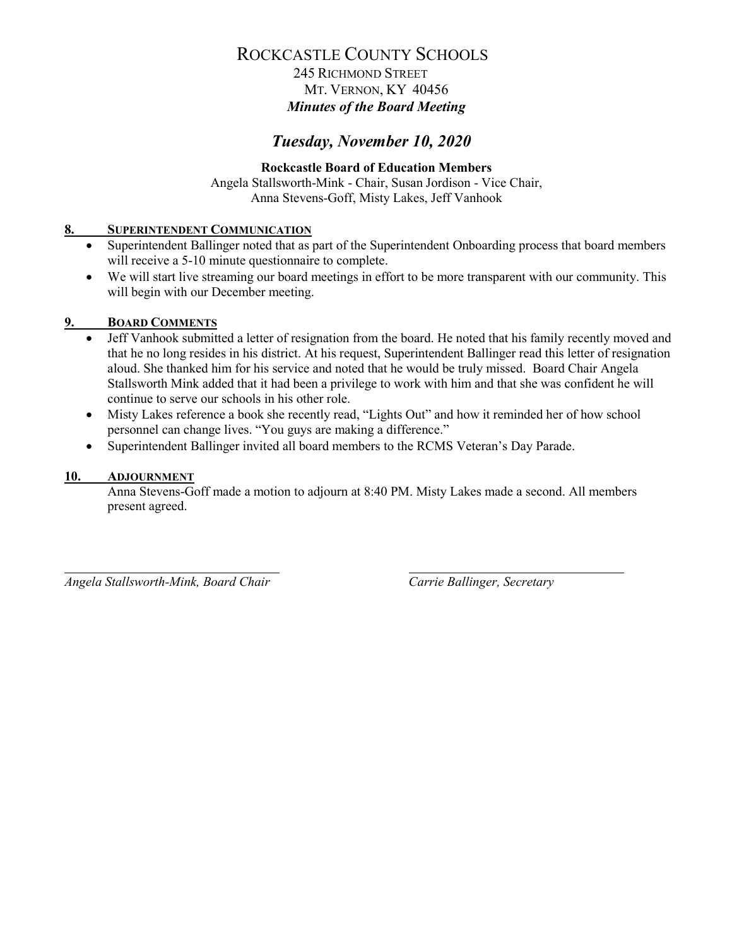## 245 RICHMOND STREET MT. VERNON, KY 40456 *Minutes of the Board Meeting*

## *Tuesday, November 10, 2020*

## **Rockcastle Board of Education Members**

Angela Stallsworth-Mink - Chair, Susan Jordison - Vice Chair, Anna Stevens-Goff, Misty Lakes, Jeff Vanhook

#### **8. SUPERINTENDENT COMMUNICATION**

- Superintendent Ballinger noted that as part of the Superintendent Onboarding process that board members will receive a 5-10 minute questionnaire to complete.
- We will start live streaming our board meetings in effort to be more transparent with our community. This will begin with our December meeting.

#### **9. BOARD COMMENTS**

- Jeff Vanhook submitted a letter of resignation from the board. He noted that his family recently moved and that he no long resides in his district. At his request, Superintendent Ballinger read this letter of resignation aloud. She thanked him for his service and noted that he would be truly missed. Board Chair Angela Stallsworth Mink added that it had been a privilege to work with him and that she was confident he will continue to serve our schools in his other role.
- Misty Lakes reference a book she recently read, "Lights Out" and how it reminded her of how school personnel can change lives. "You guys are making a difference."
- Superintendent Ballinger invited all board members to the RCMS Veteran's Day Parade.

#### **10. ADJOURNMENT**

Anna Stevens-Goff made a motion to adjourn at 8:40 PM. Misty Lakes made a second. All members present agreed.

*Angela Stallsworth-Mink, Board Chair Carrie Ballinger, Secretary*